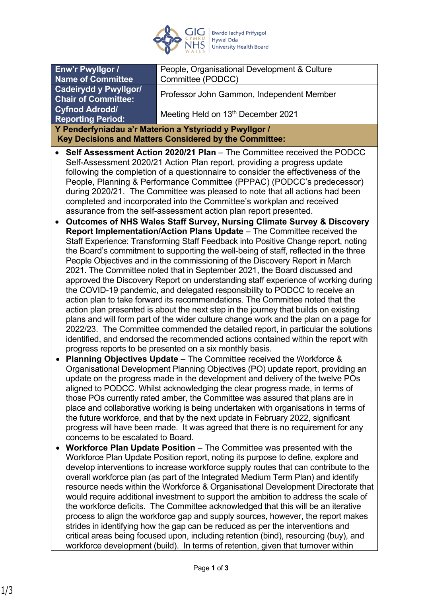

| Enw'r Pwyllgor /                                                                                                                                                                                                                                                                                                                                                                                                                                                                                                                                                                                                                 |                                                                                                                                                                                                                                                                                                                                                                                                                                                                                                                                                                                                                                                                                                                                                                                                                                                                                                                                                                                                                                                                                          | People, Organisational Development & Culture                                                                                                                                                                                                      |
|----------------------------------------------------------------------------------------------------------------------------------------------------------------------------------------------------------------------------------------------------------------------------------------------------------------------------------------------------------------------------------------------------------------------------------------------------------------------------------------------------------------------------------------------------------------------------------------------------------------------------------|------------------------------------------------------------------------------------------------------------------------------------------------------------------------------------------------------------------------------------------------------------------------------------------------------------------------------------------------------------------------------------------------------------------------------------------------------------------------------------------------------------------------------------------------------------------------------------------------------------------------------------------------------------------------------------------------------------------------------------------------------------------------------------------------------------------------------------------------------------------------------------------------------------------------------------------------------------------------------------------------------------------------------------------------------------------------------------------|---------------------------------------------------------------------------------------------------------------------------------------------------------------------------------------------------------------------------------------------------|
| <b>Name of Committee</b>                                                                                                                                                                                                                                                                                                                                                                                                                                                                                                                                                                                                         |                                                                                                                                                                                                                                                                                                                                                                                                                                                                                                                                                                                                                                                                                                                                                                                                                                                                                                                                                                                                                                                                                          | Committee (PODCC)                                                                                                                                                                                                                                 |
| <b>Cadeirydd y Pwyllgor/</b><br><b>Chair of Committee:</b>                                                                                                                                                                                                                                                                                                                                                                                                                                                                                                                                                                       |                                                                                                                                                                                                                                                                                                                                                                                                                                                                                                                                                                                                                                                                                                                                                                                                                                                                                                                                                                                                                                                                                          | Professor John Gammon, Independent Member                                                                                                                                                                                                         |
| <b>Cyfnod Adrodd/</b><br><b>Reporting Period:</b>                                                                                                                                                                                                                                                                                                                                                                                                                                                                                                                                                                                |                                                                                                                                                                                                                                                                                                                                                                                                                                                                                                                                                                                                                                                                                                                                                                                                                                                                                                                                                                                                                                                                                          | Meeting Held on 13th December 2021                                                                                                                                                                                                                |
| Y Penderfyniadau a'r Materion a Ystyriodd y Pwyllgor /                                                                                                                                                                                                                                                                                                                                                                                                                                                                                                                                                                           |                                                                                                                                                                                                                                                                                                                                                                                                                                                                                                                                                                                                                                                                                                                                                                                                                                                                                                                                                                                                                                                                                          |                                                                                                                                                                                                                                                   |
| Key Decisions and Matters Considered by the Committee:                                                                                                                                                                                                                                                                                                                                                                                                                                                                                                                                                                           |                                                                                                                                                                                                                                                                                                                                                                                                                                                                                                                                                                                                                                                                                                                                                                                                                                                                                                                                                                                                                                                                                          |                                                                                                                                                                                                                                                   |
| Self Assessment Action 2020/21 Plan - The Committee received the PODCC<br>Self-Assessment 2020/21 Action Plan report, providing a progress update<br>following the completion of a questionnaire to consider the effectiveness of the<br>People, Planning & Performance Committee (PPPAC) (PODCC's predecessor)<br>during 2020/21. The Committee was pleased to note that all actions had been<br>completed and incorporated into the Committee's workplan and received<br>assurance from the self-assessment action plan report presented.<br><b>Outcomes of NHS Wales Staff Survey, Nursing Climate Survey &amp; Discovery</b> |                                                                                                                                                                                                                                                                                                                                                                                                                                                                                                                                                                                                                                                                                                                                                                                                                                                                                                                                                                                                                                                                                          |                                                                                                                                                                                                                                                   |
|                                                                                                                                                                                                                                                                                                                                                                                                                                                                                                                                                                                                                                  | Report Implementation/Action Plans Update - The Committee received the<br>Staff Experience: Transforming Staff Feedback into Positive Change report, noting<br>the Board's commitment to supporting the well-being of staff, reflected in the three<br>People Objectives and in the commissioning of the Discovery Report in March<br>2021. The Committee noted that in September 2021, the Board discussed and<br>approved the Discovery Report on understanding staff experience of working during<br>the COVID-19 pandemic, and delegated responsibility to PODCC to receive an<br>action plan to take forward its recommendations. The Committee noted that the<br>action plan presented is about the next step in the journey that builds on existing<br>plans and will form part of the wider culture change work and the plan on a page for<br>2022/23. The Committee commended the detailed report, in particular the solutions<br>identified, and endorsed the recommended actions contained within the report with<br>progress reports to be presented on a six monthly basis. |                                                                                                                                                                                                                                                   |
| $\bullet$                                                                                                                                                                                                                                                                                                                                                                                                                                                                                                                                                                                                                        | <b>Planning Objectives Update</b> – The Committee received the Workforce &<br>Organisational Development Planning Objectives (PO) update report, providing an<br>update on the progress made in the development and delivery of the twelve POs<br>aligned to PODCC. Whilst acknowledging the clear progress made, in terms of<br>those POs currently rated amber, the Committee was assured that plans are in<br>place and collaborative working is being undertaken with organisations in terms of<br>the future workforce, and that by the next update in February 2022, significant<br>progress will have been made. It was agreed that there is no requirement for any<br>concerns to be escalated to Board.                                                                                                                                                                                                                                                                                                                                                                         |                                                                                                                                                                                                                                                   |
|                                                                                                                                                                                                                                                                                                                                                                                                                                                                                                                                                                                                                                  |                                                                                                                                                                                                                                                                                                                                                                                                                                                                                                                                                                                                                                                                                                                                                                                                                                                                                                                                                                                                                                                                                          | Workforce Plan Update Position - The Committee was presented with the<br>Workforce Plan Update Position report, noting its purpose to define, explore and<br>develop interventions to increase workforce supply routes that can contribute to the |

develop interventions to increase workforce supply routes that can contribute to the overall workforce plan (as part of the Integrated Medium Term Plan) and identify resource needs within the Workforce & Organisational Development Directorate that would require additional investment to support the ambition to address the scale of the workforce deficits. The Committee acknowledged that this will be an iterative process to align the workforce gap and supply sources, however, the report makes strides in identifying how the gap can be reduced as per the interventions and critical areas being focused upon, including retention (bind), resourcing (buy), and workforce development (build). In terms of retention, given that turnover within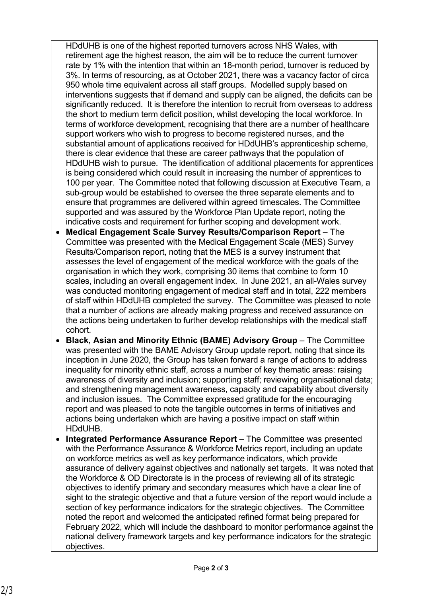HDdUHB is one of the highest reported turnovers across NHS Wales, with retirement age the highest reason, the aim will be to reduce the current turnover rate by 1% with the intention that within an 18-month period, turnover is reduced by 3%. In terms of resourcing, as at October 2021, there was a vacancy factor of circa 950 whole time equivalent across all staff groups. Modelled supply based on interventions suggests that if demand and supply can be aligned, the deficits can be significantly reduced. It is therefore the intention to recruit from overseas to address the short to medium term deficit position, whilst developing the local workforce. In terms of workforce development, recognising that there are a number of healthcare support workers who wish to progress to become registered nurses, and the substantial amount of applications received for HDdUHB's apprenticeship scheme, there is clear evidence that these are career pathways that the population of HDdUHB wish to pursue. The identification of additional placements for apprentices is being considered which could result in increasing the number of apprentices to 100 per year. The Committee noted that following discussion at Executive Team, a sub-group would be established to oversee the three separate elements and to ensure that programmes are delivered within agreed timescales. The Committee supported and was assured by the Workforce Plan Update report, noting the indicative costs and requirement for further scoping and development work.

- **Medical Engagement Scale Survey Results/Comparison Report** The Committee was presented with the Medical Engagement Scale (MES) Survey Results/Comparison report, noting that the MES is a survey instrument that assesses the level of engagement of the medical workforce with the goals of the organisation in which they work, comprising 30 items that combine to form 10 scales, including an overall engagement index. In June 2021, an all-Wales survey was conducted monitoring engagement of medical staff and in total, 222 members of staff within HDdUHB completed the survey. The Committee was pleased to note that a number of actions are already making progress and received assurance on the actions being undertaken to further develop relationships with the medical staff cohort.
- **Black, Asian and Minority Ethnic (BAME) Advisory Group** The Committee was presented with the BAME Advisory Group update report, noting that since its inception in June 2020, the Group has taken forward a range of actions to address inequality for minority ethnic staff, across a number of key thematic areas: raising awareness of diversity and inclusion; supporting staff; reviewing organisational data; and strengthening management awareness, capacity and capability about diversity and inclusion issues. The Committee expressed gratitude for the encouraging report and was pleased to note the tangible outcomes in terms of initiatives and actions being undertaken which are having a positive impact on staff within HDdUHB.
- **Integrated Performance Assurance Report**  The Committee was presented with the Performance Assurance & Workforce Metrics report, including an update on workforce metrics as well as key performance indicators, which provide assurance of delivery against objectives and nationally set targets. It was noted that the Workforce & OD Directorate is in the process of reviewing all of its strategic objectives to identify primary and secondary measures which have a clear line of sight to the strategic objective and that a future version of the report would include a section of key performance indicators for the strategic objectives. The Committee noted the report and welcomed the anticipated refined format being prepared for February 2022, which will include the dashboard to monitor performance against the national delivery framework targets and key performance indicators for the strategic objectives.